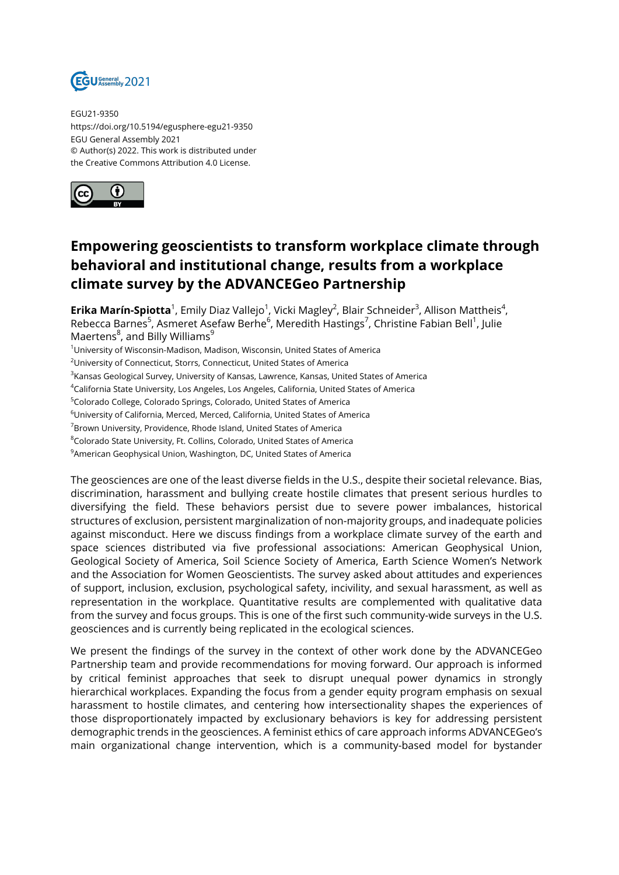

EGU21-9350 https://doi.org/10.5194/egusphere-egu21-9350 EGU General Assembly 2021 © Author(s) 2022. This work is distributed under the Creative Commons Attribution 4.0 License.



## **Empowering geoscientists to transform workplace climate through behavioral and institutional change, results from a workplace climate survey by the ADVANCEGeo Partnership**

**Erika Marín-Spiotta**<sup>1</sup>, Emily Diaz Vallejo<sup>1</sup>, Vicki Magley<sup>2</sup>, Blair Schneider<sup>3</sup>, Allison Mattheis<sup>4</sup>, Rebecca Barnes<sup>5</sup>, Asmeret Asefaw Berhe<sup>6</sup>, Meredith Hastings<sup>7</sup>, Christine Fabian Bell<sup>1</sup>, Julie Maertens<sup>8</sup>, and Billy Williams<sup>9</sup>

<sup>1</sup>University of Wisconsin-Madison, Madison, Wisconsin, United States of America

<sup>2</sup>University of Connecticut, Storrs, Connecticut, United States of America

 $^3$ Kansas Geological Survey, University of Kansas, Lawrence, Kansas, United States of America

<sup>4</sup>California State University, Los Angeles, Los Angeles, California, United States of America

<sup>5</sup>Colorado College, Colorado Springs, Colorado, United States of America

<sup>6</sup>University of California, Merced, Merced, California, United States of America

<sup>7</sup>Brown University, Providence, Rhode Island, United States of America

<sup>8</sup>Colorado State University, Ft. Collins, Colorado, United States of America

<sup>9</sup> American Geophysical Union, Washington, DC, United States of America

The geosciences are one of the least diverse fields in the U.S., despite their societal relevance. Bias, discrimination, harassment and bullying create hostile climates that present serious hurdles to diversifying the field. These behaviors persist due to severe power imbalances, historical structures of exclusion, persistent marginalization of non-majority groups, and inadequate policies against misconduct. Here we discuss findings from a workplace climate survey of the earth and space sciences distributed via five professional associations: American Geophysical Union, Geological Society of America, Soil Science Society of America, Earth Science Women's Network and the Association for Women Geoscientists. The survey asked about attitudes and experiences of support, inclusion, exclusion, psychological safety, incivility, and sexual harassment, as well as representation in the workplace. Quantitative results are complemented with qualitative data from the survey and focus groups. This is one of the first such community-wide surveys in the U.S. geosciences and is currently being replicated in the ecological sciences.

We present the findings of the survey in the context of other work done by the ADVANCEGeo Partnership team and provide recommendations for moving forward. Our approach is informed by critical feminist approaches that seek to disrupt unequal power dynamics in strongly hierarchical workplaces. Expanding the focus from a gender equity program emphasis on sexual harassment to hostile climates, and centering how intersectionality shapes the experiences of those disproportionately impacted by exclusionary behaviors is key for addressing persistent demographic trends in the geosciences. A feminist ethics of care approach informs ADVANCEGeo's main organizational change intervention, which is a community-based model for bystander